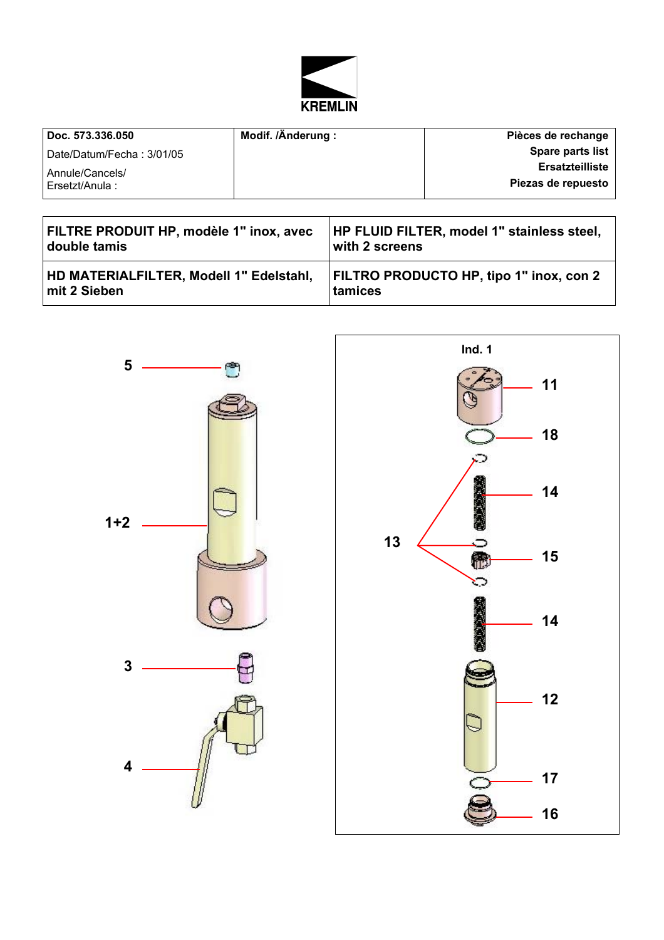

| Doc. 573.336.050              | Modif. /Änderung: | Pièces de rechange      |
|-------------------------------|-------------------|-------------------------|
| l Date/Datum/Fecha : 3/01/05_ |                   | <b>Spare parts list</b> |
| Annule/Cancels/               |                   | <b>Ersatzteilliste</b>  |
| l Ersetzt/Anula :             |                   | Piezas de repuesto      |

| FILTRE PRODUIT HP, modèle 1" inox, avec        | <b>HP FLUID FILTER, model 1" stainless steel,</b> |
|------------------------------------------------|---------------------------------------------------|
| double tamis                                   | with 2 screens                                    |
| <b>HD MATERIALFILTER, Modell 1" Edelstahl,</b> | <b>FILTRO PRODUCTO HP, tipo 1" inox, con 2</b>    |
| mit 2 Sieben                                   | tamices                                           |



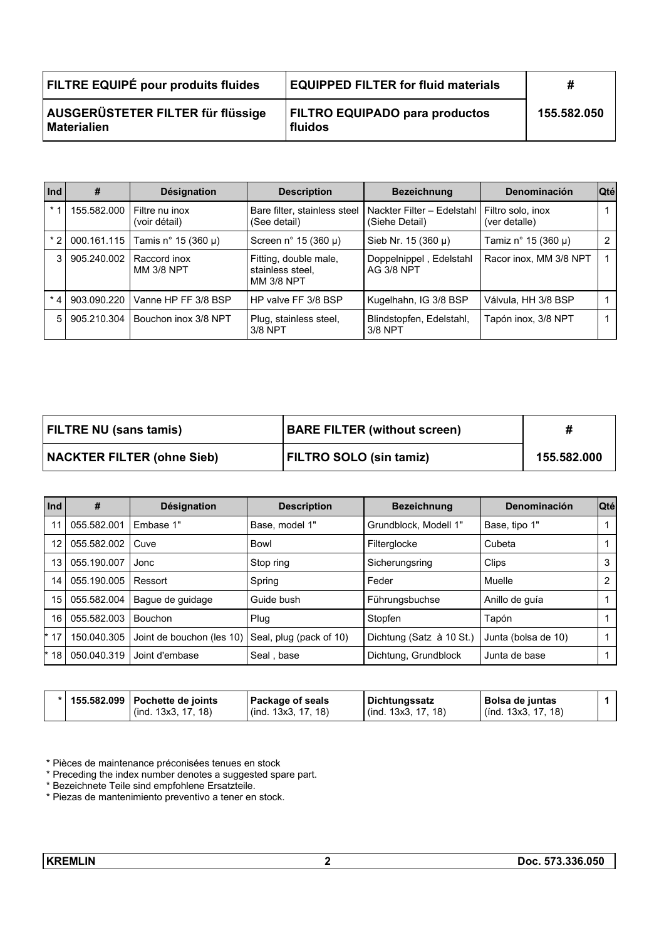| FILTRE EQUIPÉ pour produits fluides                     | <b>EQUIPPED FILTER for fluid materials</b>       | x           |
|---------------------------------------------------------|--------------------------------------------------|-------------|
| AUSGERÜSTETER FILTER für flüssige<br><b>Materialien</b> | <b>FILTRO EQUIPADO para productos</b><br>fluidos | 155.582.050 |

| Ind            | #           | <b>Désignation</b>                | <b>Description</b>                                             | <b>Bezeichnung</b>                           | Denominación                       | <b>Qté</b> |
|----------------|-------------|-----------------------------------|----------------------------------------------------------------|----------------------------------------------|------------------------------------|------------|
| $*1$           | 155.582.000 | Filtre nu inox<br>(voir détail)   | Bare filter, stainless steel<br>(See detail)                   | Nackter Filter - Edelstahl<br>(Siehe Detail) | Filtro solo, inox<br>(ver detalle) |            |
| * 2 I          | 000.161.115 | Tamis n° 15 (360 µ)               | Screen n° 15 (360 $\mu$ )                                      | Sieb Nr. $15(360 \mu)$                       | Tamiz n° 15 (360 µ)                | 2          |
| 3 I            | 905.240.002 | Raccord inox<br><b>MM 3/8 NPT</b> | Fitting, double male,<br>stainless steel.<br><b>MM 3/8 NPT</b> | Doppelnippel, Edelstahl<br><b>AG 3/8 NPT</b> | Racor inox, MM 3/8 NPT             |            |
| * 4 l          | 903.090.220 | Vanne HP FF 3/8 BSP               | HP valve FF 3/8 BSP                                            | Kugelhahn, IG 3/8 BSP                        | Válvula, HH 3/8 BSP                |            |
| 5 <sup>1</sup> | 905.210.304 | Bouchon inox 3/8 NPT              | Plug, stainless steel,<br>3/8 NPT                              | Blindstopfen, Edelstahl,<br>3/8 NPT          | Tapón inox, 3/8 NPT                |            |

| <b>FILTRE NU (sans tamis)</b>     | <b>BARE FILTER (without screen)</b> |             |
|-----------------------------------|-------------------------------------|-------------|
| <b>NACKTER FILTER (ohne Sieb)</b> | <b>FILTRO SOLO (sin tamiz)</b>      | 155.582.000 |

| Ind   | #           | Désignation               | <b>Description</b>      | <b>Bezeichnung</b>       | Denominación        | <b>Qté</b> |
|-------|-------------|---------------------------|-------------------------|--------------------------|---------------------|------------|
| 11    | 055.582.001 | Embase 1"                 | Base, model 1"          | Grundblock, Modell 1"    | Base, tipo 1"       |            |
| 12    | 055.582.002 | Cuve                      | Bowl                    | Filterglocke             | Cubeta              |            |
| 13    | 055.190.007 | Jonc                      | Stop ring               | Sicherungsring           | Clips               | 3          |
| 14    | 055.190.005 | Ressort                   | Spring                  | Feder                    | Muelle              | 2          |
| 15    | 055.582.004 | Bague de guidage          | Guide bush              | Führungsbuchse           | Anillo de quía      |            |
| 16    | 055.582.003 | <b>Bouchon</b>            | Plug                    | Stopfen                  | Tapón               |            |
| $*17$ | 150.040.305 | Joint de bouchon (les 10) | Seal, plug (pack of 10) | Dichtung (Satz à 10 St.) | Junta (bolsa de 10) |            |
| * 18  | 050.040.319 | Joint d'embase            | Seal, base              | Dichtung, Grundblock     | Junta de base       |            |

|  |  | *   155.582.099   Pochette de joints<br>(ind. 13x3, 17, 18) | <b>Package of seals</b><br>$($ ind. 13x3, 17, 18) | <b>Dichtungssatz</b><br>(ind. 13x3, 17, 18) | Bolsa de juntas<br>$($ ind. 13x3, 17, 18) |  |
|--|--|-------------------------------------------------------------|---------------------------------------------------|---------------------------------------------|-------------------------------------------|--|
|--|--|-------------------------------------------------------------|---------------------------------------------------|---------------------------------------------|-------------------------------------------|--|

\* Pièces de maintenance préconisées tenues en stock

\* Preceding the index number denotes a suggested spare part.

\* Bezeichnete Teile sind empfohlene Ersatzteile.

\* Piezas de mantenimiento preventivo a tener en stock.